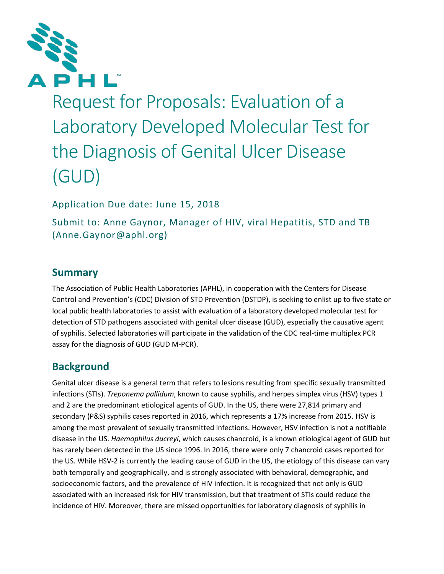

Request for Proposals: Evaluation of a Laboratory Developed Molecular Test for the Diagnosis of Genital Ulcer Disease (GUD)

Application Due date: June 15, 2018

Submit to: Anne Gaynor, Manager of HIV, viral Hepatitis, STD and TB (Anne.Gaynor@aphl.org)

# **Summary**

The Association of Public Health Laboratories (APHL), in cooperation with the Centers for Disease Control and Prevention's (CDC) Division of STD Prevention (DSTDP), is seeking to enlist up to five state or local public health laboratories to assist with evaluation of a laboratory developed molecular test for detection of STD pathogens associated with genital ulcer disease (GUD), especially the causative agent of syphilis. Selected laboratories will participate in the validation of the CDC real-time multiplex PCR assay for the diagnosis of GUD (GUD M-PCR).

# **Background**

Genital ulcer disease is a general term that refers to lesions resulting from specific sexually transmitted infections (STIs). *Treponema pallidum*, known to cause syphilis, and herpes simplex virus (HSV) types 1 and 2 are the predominant etiological agents of GUD. In the US, there were 27,814 primary and secondary (P&S) syphilis cases reported in 2016, which represents a 17% increase from 2015. HSV is among the most prevalent of sexually transmitted infections. However, HSV infection is not a notifiable disease in the US. *Haemophilus ducreyi*, which causes chancroid, is a known etiological agent of GUD but has rarely been detected in the US since 1996. In 2016, there were only 7 chancroid cases reported for the US. While HSV-2 is currently the leading cause of GUD in the US, the etiology of this disease can vary both temporally and geographically, and is strongly associated with behavioral, demographic, and socioeconomic factors, and the prevalence of HIV infection. It is recognized that not only is GUD associated with an increased risk for HIV transmission, but that treatment of STIs could reduce the incidence of HIV. Moreover, there are missed opportunities for laboratory diagnosis of syphilis in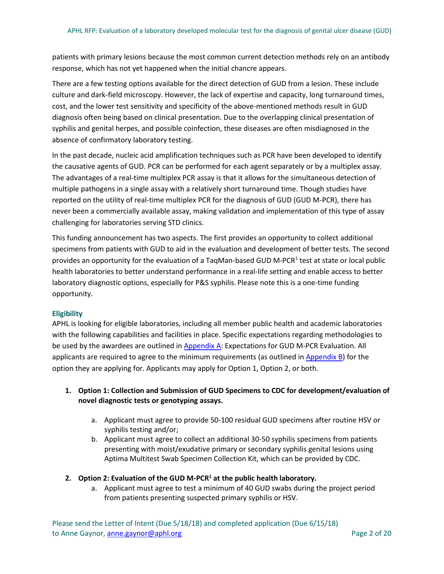patients with primary lesions because the most common current detection methods rely on an antibody response, which has not yet happened when the initial chancre appears.

There are a few testing options available for the direct detection of GUD from a lesion. These include culture and dark-field microscopy. However, the lack of expertise and capacity, long turnaround times, cost, and the lower test sensitivity and specificity of the above-mentioned methods result in GUD diagnosis often being based on clinical presentation. Due to the overlapping clinical presentation of syphilis and genital herpes, and possible coinfection, these diseases are often misdiagnosed in the absence of confirmatory laboratory testing.

In the past decade, nucleic acid amplification techniques such as PCR have been developed to identify the causative agents of GUD. PCR can be performed for each agent separately or by a multiplex assay. The advantages of a real-time multiplex PCR assay is that it allows for the simultaneous detection of multiple pathogens in a single assay with a relatively short turnaround time. Though studies have reported on the utility of real-time multiplex PCR for the diagnosis of GUD (GUD M-PCR), there has never been a commercially available assay, making validation and implementation of this type of assay challenging for laboratories serving STD clinics.

This funding announcement has two aspects. The first provides an opportunity to collect additional specimens from patients with GUD to aid in the evaluation and development of better tests. The second provides an opportunity for the evaluation of a TaqMan-based GUD M-PCR<sup>1</sup> test at state or local public health laboratories to better understand performance in a real-life setting and enable access to better laboratory diagnostic options, especially for P&S syphilis. Please note this is a one-time funding opportunity.

# **Eligibility**

APHL is looking for eligible laboratories, including all member public health and academic laboratories with the following capabilities and facilities in place. Specific expectations regarding methodologies to be used by the awardees are outlined i[n Appendix A:](#page-7-0) Expectations for GUD M-PCR Evaluation. All applicants are required to agree to the minimum requirements (as outlined in [Appendix B\)](#page-10-0) for the option they are applying for. Applicants may apply for Option 1, Option 2, or both.

# **1. Option 1: Collection and Submission of GUD Specimens to CDC for development/evaluation of novel diagnostic tests or genotyping assays.**

- a. Applicant must agree to provide 50-100 residual GUD specimens after routine HSV or syphilis testing and/or;
- b. Applicant must agree to collect an additional 30-50 syphilis specimens from patients presenting with moist/exudative primary or secondary syphilis genital lesions using Aptima Multitest Swab Specimen Collection Kit, which can be provided by CDC.

# **2. Option 2: Evaluation of the GUD M-PCR1 at the public health laboratory.**

a. Applicant must agree to test a minimum of 40 GUD swabs during the project period from patients presenting suspected primary syphilis or HSV.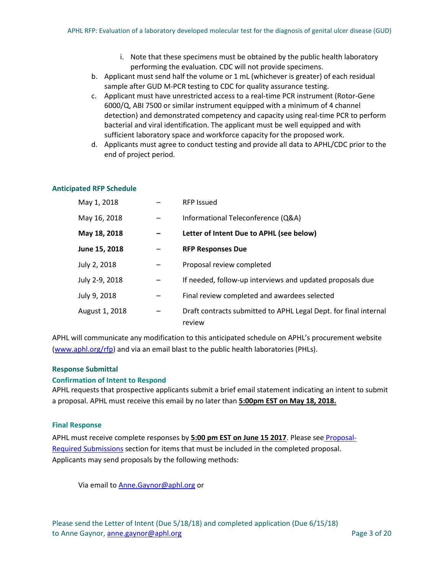- i. Note that these specimens must be obtained by the public health laboratory performing the evaluation. CDC will not provide specimens.
- b. Applicant must send half the volume or 1 mL (whichever is greater) of each residual sample after GUD M-PCR testing to CDC for quality assurance testing.
- c. Applicant must have unrestricted access to a real-time PCR instrument (Rotor-Gene 6000/Q, ABI 7500 or similar instrument equipped with a minimum of 4 channel detection) and demonstrated competency and capacity using real-time PCR to perform bacterial and viral identification. The applicant must be well equipped and with sufficient laboratory space and workforce capacity for the proposed work.
- d. Applicants must agree to conduct testing and provide all data to APHL/CDC prior to the end of project period.

### <span id="page-2-0"></span>**Anticipated RFP Schedule**

| May 1, 2018    | <b>RFP Issued</b>                                                          |
|----------------|----------------------------------------------------------------------------|
| May 16, 2018   | Informational Teleconference (Q&A)                                         |
| May 18, 2018   | Letter of Intent Due to APHL (see below)                                   |
| June 15, 2018  | <b>RFP Responses Due</b>                                                   |
| July 2, 2018   | Proposal review completed                                                  |
| July 2-9, 2018 | If needed, follow-up interviews and updated proposals due                  |
| July 9, 2018   | Final review completed and awardees selected                               |
| August 1, 2018 | Draft contracts submitted to APHL Legal Dept. for final internal<br>review |

APHL will communicate any modification to this anticipated schedule on APHL's procurement website [\(www.aphl.org/rfp\)](http://www.aphl.org/rfp) and via an email blast to the public health laboratories (PHLs).

### **Response Submittal**

### **Confirmation of Intent to Respond**

APHL requests that prospective applicants submit a brief email statement indicating an intent to submit a proposal. APHL must receive this email by no later than **5:00pm EST on May 18, 2018.** 

#### **Final Response**

APHL must receive complete responses by **5:00 pm EST on June 15 2017**. Please see [Proposal-](#page-5-0)[Required Submissions](#page-5-0) section for items that must be included in the completed proposal. Applicants may send proposals by the following methods:

Via email t[o Anne.Gaynor@aphl.org](mailto:Anne.Gaynor@aphl.org) or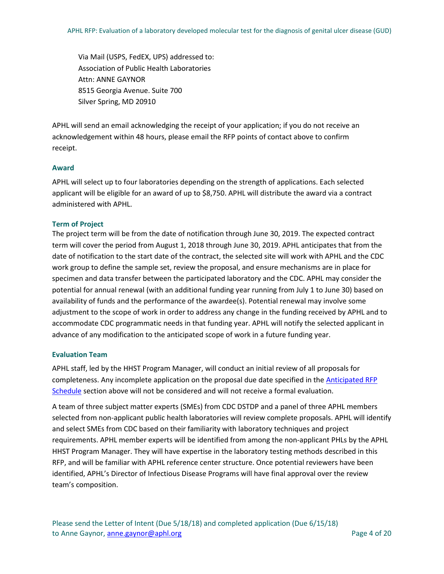Via Mail (USPS, FedEX, UPS) addressed to: Association of Public Health Laboratories Attn: ANNE GAYNOR 8515 Georgia Avenue. Suite 700 Silver Spring, MD 20910

APHL will send an email acknowledging the receipt of your application; if you do not receive an acknowledgement within 48 hours, please email the RFP points of contact above to confirm receipt.

## **Award**

APHL will select up to four laboratories depending on the strength of applications. Each selected applicant will be eligible for an award of up to \$8,750. APHL will distribute the award via a contract administered with APHL.

## **Term of Project**

The project term will be from the date of notification through June 30, 2019. The expected contract term will cover the period from August 1, 2018 through June 30, 2019. APHL anticipates that from the date of notification to the start date of the contract, the selected site will work with APHL and the CDC work group to define the sample set, review the proposal, and ensure mechanisms are in place for specimen and data transfer between the participated laboratory and the CDC. APHL may consider the potential for annual renewal (with an additional funding year running from July 1 to June 30) based on availability of funds and the performance of the awardee(s). Potential renewal may involve some adjustment to the scope of work in order to address any change in the funding received by APHL and to accommodate CDC programmatic needs in that funding year. APHL will notify the selected applicant in advance of any modification to the anticipated scope of work in a future funding year.

### **Evaluation Team**

APHL staff, led by the HHST Program Manager, will conduct an initial review of all proposals for completeness. Any incomplete application on the proposal due date specified in the [Anticipated RFP](#page-2-0)  [Schedule](#page-2-0) section above will not be considered and will not receive a formal evaluation.

A team of three subject matter experts (SMEs) from CDC DSTDP and a panel of three APHL members selected from non-applicant public health laboratories will review complete proposals. APHL will identify and select SMEs from CDC based on their familiarity with laboratory techniques and project requirements. APHL member experts will be identified from among the non-applicant PHLs by the APHL HHST Program Manager. They will have expertise in the laboratory testing methods described in this RFP, and will be familiar with APHL reference center structure. Once potential reviewers have been identified, APHL's Director of Infectious Disease Programs will have final approval over the review team's composition.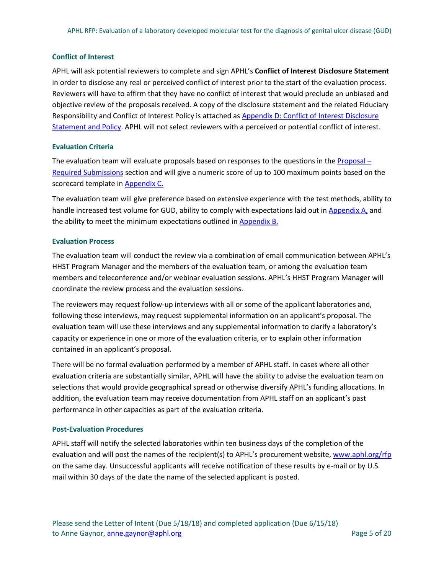### **Conflict of Interest**

APHL will ask potential reviewers to complete and sign APHL's **Conflict of Interest Disclosure Statement** in order to disclose any real or perceived conflict of interest prior to the start of the evaluation process. Reviewers will have to affirm that they have no conflict of interest that would preclude an unbiased and objective review of the proposals received. A copy of the disclosure statement and the related Fiduciary Responsibility and Conflict of Interest Policy is attached a[s Appendix D: Conflict of Interest Disclosure](#page-15-0)  [Statement and Policy.](#page-15-0) APHL will not select reviewers with a perceived or potential conflict of interest.

### **Evaluation Criteria**

The evaluation team will evaluate proposals based on responses to the questions in the  $Proposal -$ [Required Submissions](#page-5-0) section and will give a numeric score of up to 100 maximum points based on the scorecard template in [Appendix C.](#page-11-0) 

The evaluation team will give preference based on extensive experience with the test methods, ability to handle increased test volume for GUD, ability to comply with expectations laid out in [Appendix A,](#page-7-0) and the ability to meet the minimum expectations outlined in **Appendix B.** 

## **Evaluation Process**

The evaluation team will conduct the review via a combination of email communication between APHL's HHST Program Manager and the members of the evaluation team, or among the evaluation team members and teleconference and/or webinar evaluation sessions. APHL's HHST Program Manager will coordinate the review process and the evaluation sessions.

The reviewers may request follow-up interviews with all or some of the applicant laboratories and, following these interviews, may request supplemental information on an applicant's proposal. The evaluation team will use these interviews and any supplemental information to clarify a laboratory's capacity or experience in one or more of the evaluation criteria, or to explain other information contained in an applicant's proposal.

There will be no formal evaluation performed by a member of APHL staff. In cases where all other evaluation criteria are substantially similar, APHL will have the ability to advise the evaluation team on selections that would provide geographical spread or otherwise diversify APHL's funding allocations. In addition, the evaluation team may receive documentation from APHL staff on an applicant's past performance in other capacities as part of the evaluation criteria.

### **Post-Evaluation Procedures**

APHL staff will notify the selected laboratories within ten business days of the completion of the evaluation and will post the names of the recipient(s) to APHL's procurement website, [www.aphl.org/rfp](http://www.aphl.org/rfp) on the same day. Unsuccessful applicants will receive notification of these results by e-mail or by U.S. mail within 30 days of the date the name of the selected applicant is posted.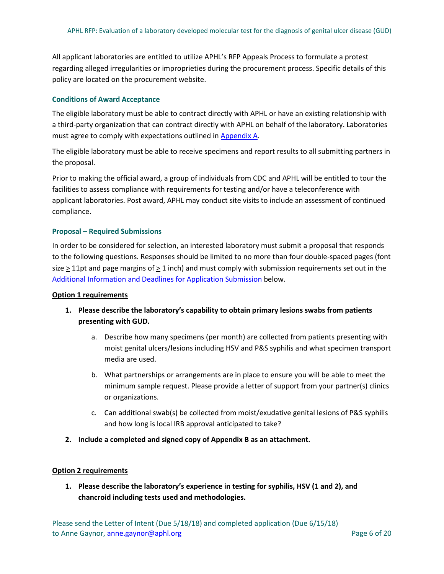All applicant laboratories are entitled to utilize APHL's RFP Appeals Process to formulate a protest regarding alleged irregularities or improprieties during the procurement process. Specific details of this policy are located on the procurement website.

# **Conditions of Award Acceptance**

The eligible laboratory must be able to contract directly with APHL or have an existing relationship with a third-party organization that can contract directly with APHL on behalf of the laboratory. Laboratories must agree to comply with expectations outlined in [Appendix A.](#page-7-0)

The eligible laboratory must be able to receive specimens and report results to all submitting partners in the proposal.

Prior to making the official award, a group of individuals from CDC and APHL will be entitled to tour the facilities to assess compliance with requirements for testing and/or have a teleconference with applicant laboratories. Post award, APHL may conduct site visits to include an assessment of continued compliance.

## <span id="page-5-0"></span>**Proposal – Required Submissions**

In order to be considered for selection, an interested laboratory must submit a proposal that responds to the following questions. Responses should be limited to no more than four double-spaced pages (font size > 11pt and page margins of > 1 inch) and must comply with submission requirements set out in the [Additional Information and Deadlines for Application Submission](#page-6-0) below.

### **Option 1 requirements**

- **1. Please describe the laboratory's capability to obtain primary lesions swabs from patients presenting with GUD.** 
	- a. Describe how many specimens (per month) are collected from patients presenting with moist genital ulcers/lesions including HSV and P&S syphilis and what specimen transport media are used.
	- b. What partnerships or arrangements are in place to ensure you will be able to meet the minimum sample request. Please provide a letter of support from your partner(s) clinics or organizations.
	- c. Can additional swab(s) be collected from moist/exudative genital lesions of P&S syphilis and how long is local IRB approval anticipated to take?
- **2. Include a completed and signed copy of Appendix B as an attachment.**

# **Option 2 requirements**

**1. Please describe the laboratory's experience in testing for syphilis, HSV (1 and 2), and chancroid including tests used and methodologies.**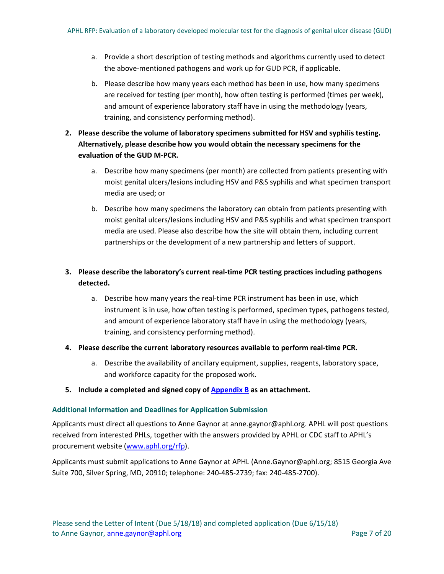- a. Provide a short description of testing methods and algorithms currently used to detect the above-mentioned pathogens and work up for GUD PCR, if applicable.
- b. Please describe how many years each method has been in use, how many specimens are received for testing (per month), how often testing is performed (times per week), and amount of experience laboratory staff have in using the methodology (years, training, and consistency performing method).
- **2. Please describe the volume of laboratory specimens submitted for HSV and syphilis testing. Alternatively, please describe how you would obtain the necessary specimens for the evaluation of the GUD M-PCR.** 
	- a. Describe how many specimens (per month) are collected from patients presenting with moist genital ulcers/lesions including HSV and P&S syphilis and what specimen transport media are used; or
	- b. Describe how many specimens the laboratory can obtain from patients presenting with moist genital ulcers/lesions including HSV and P&S syphilis and what specimen transport media are used. Please also describe how the site will obtain them, including current partnerships or the development of a new partnership and letters of support.

# **3. Please describe the laboratory's current real-time PCR testing practices including pathogens detected.**

- a. Describe how many years the real-time PCR instrument has been in use, which instrument is in use, how often testing is performed, specimen types, pathogens tested, and amount of experience laboratory staff have in using the methodology (years, training, and consistency performing method).
- **4. Please describe the current laboratory resources available to perform real-time PCR.**
	- a. Describe the availability of ancillary equipment, supplies, reagents, laboratory space, and workforce capacity for the proposed work.
- **5. Include a completed and signed copy of [Appendix B](#page-10-0) as an attachment.**

# <span id="page-6-0"></span>**Additional Information and Deadlines for Application Submission**

Applicants must direct all questions to Anne Gaynor at anne.gaynor@aphl.org. APHL will post questions received from interested PHLs, together with the answers provided by APHL or CDC staff to APHL's procurement website [\(www.aphl.org/rfp\)](http://www.aphl.org/rfp).

Applicants must submit applications to Anne Gaynor at APHL (Anne.Gaynor@aphl.org; 8515 Georgia Ave Suite 700, Silver Spring, MD, 20910; telephone: 240-485-2739; fax: 240-485-2700).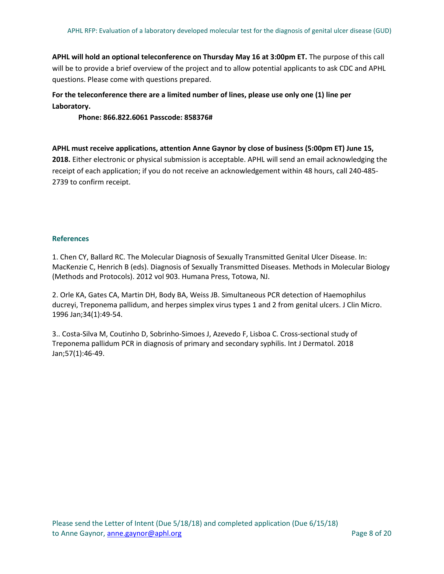**APHL will hold an optional teleconference on Thursday May 16 at 3:00pm ET.** The purpose of this call will be to provide a brief overview of the project and to allow potential applicants to ask CDC and APHL questions. Please come with questions prepared.

# **For the teleconference there are a limited number of lines, please use only one (1) line per Laboratory.**

**Phone: 866.822.6061 Passcode: 858376#**

**APHL must receive applications, attention Anne Gaynor by close of business (5:00pm ET) June 15, 2018.** Either electronic or physical submission is acceptable. APHL will send an email acknowledging the receipt of each application; if you do not receive an acknowledgement within 48 hours, call 240-485- 2739 to confirm receipt.

## <span id="page-7-0"></span>**References**

1. Chen CY, Ballard RC. The Molecular Diagnosis of Sexually Transmitted Genital Ulcer Disease. In: MacKenzie C, Henrich B (eds). Diagnosis of Sexually Transmitted Diseases. Methods in Molecular Biology (Methods and Protocols). 2012 vol 903. Humana Press, Totowa, NJ.

2. Orle KA, Gates CA, Martin DH, Body BA, Weiss JB. Simultaneous PCR detection of Haemophilus ducreyi, Treponema pallidum, and herpes simplex virus types 1 and 2 from genital ulcers. J Clin Micro. 1996 Jan;34(1):49-54.

3.. Costa-Silva M, Coutinho D, Sobrinho-Simoes J, Azevedo F, Lisboa C. Cross-sectional study of Treponema pallidum PCR in diagnosis of primary and secondary syphilis. Int J Dermatol. 2018 Jan;57(1):46-49.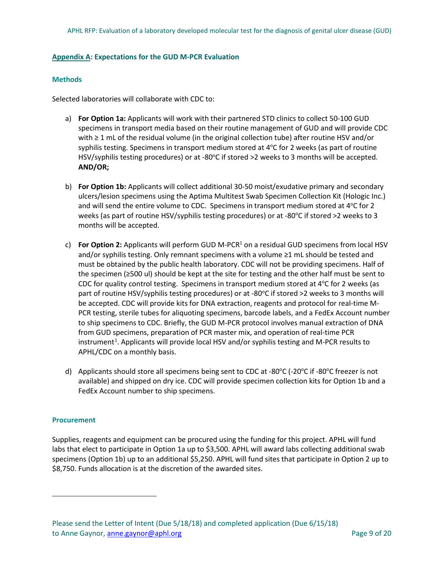### **Appendix A: Expectations for the GUD M-PCR Evaluation**

### **Methods**

Selected laboratories will collaborate with CDC to:

- a) **For Option 1a:** Applicants will work with their partnered STD clinics to collect 50-100 GUD specimens in transport media based on their routine management of GUD and will provide CDC with ≥ 1 mL of the residual volume (in the original collection tube) after routine HSV and/or syphilis testing. Specimens in transport medium stored at 4°C for 2 weeks (as part of routine HSV/syphilis testing procedures) or at -80°C if stored >2 weeks to 3 months will be accepted. **AND/OR;**
- b) **For Option 1b:** Applicants will collect additional 30-50 moist/exudative primary and secondary ulcers/lesion specimens using the Aptima Multitest Swab Specimen Collection Kit (Hologic Inc.) and will send the entire volume to CDC. Specimens in transport medium stored at 4°C for 2 weeks (as part of routine HSV/syphilis testing procedures) or at -80°C if stored >2 weeks to 3 months will be accepted.
- c) **For Option 2:** Applicants will perform GUD M-PCR1 on a residual GUD specimens from local HSV and/or syphilis testing. Only remnant specimens with a volume ≥1 mL should be tested and must be obtained by the public health laboratory. CDC will not be providing specimens. Half of the specimen (≥500 ul) should be kept at the site for testing and the other half must be sent to CDC for quality control testing. Specimens in transport medium stored at  $4^{\circ}$ C for 2 weeks (as part of routine HSV/syphilis testing procedures) or at -80°C if stored >2 weeks to 3 months will be accepted. CDC will provide kits for DNA extraction, reagents and protocol for real-time M-PCR testing, sterile tubes for aliquoting specimens, barcode labels, and a FedEx Account number to ship specimens to CDC. Briefly, the GUD M-PCR protocol involves manual extraction of DNA from GUD specimens, preparation of PCR master mix, and operation of real-time PCR instrument<sup>[1](#page-8-0)</sup>. Applicants will provide local HSV and/or syphilis testing and M-PCR results to APHL/CDC on a monthly basis.
- d) Applicants should store all specimens being sent to CDC at -80°C (-20°C if -80°C freezer is not available) and shipped on dry ice. CDC will provide specimen collection kits for Option 1b and a FedEx Account number to ship specimens.

### **Procurement**

<span id="page-8-0"></span> $\overline{a}$ 

Supplies, reagents and equipment can be procured using the funding for this project. APHL will fund labs that elect to participate in Option 1a up to \$3,500. APHL will award labs collecting additional swab specimens (Option 1b) up to an additional \$5,250. APHL will fund sites that participate in Option 2 up to \$8,750. Funds allocation is at the discretion of the awarded sites.

Please send the Letter of Intent (Due 5/18/18) and completed application (Due 6/15/18) to Anne Gaynor, anne gaynor@aphl.org Page 9 of 20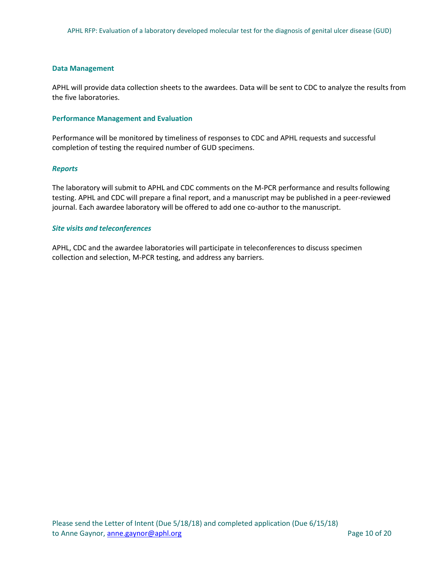#### **Data Management**

APHL will provide data collection sheets to the awardees. Data will be sent to CDC to analyze the results from the five laboratories.

#### **Performance Management and Evaluation**

Performance will be monitored by timeliness of responses to CDC and APHL requests and successful completion of testing the required number of GUD specimens.

### *Reports*

The laboratory will submit to APHL and CDC comments on the M-PCR performance and results following testing. APHL and CDC will prepare a final report, and a manuscript may be published in a peer-reviewed journal. Each awardee laboratory will be offered to add one co-author to the manuscript.

#### *Site visits and teleconferences*

APHL, CDC and the awardee laboratories will participate in teleconferences to discuss specimen collection and selection, M-PCR testing, and address any barriers.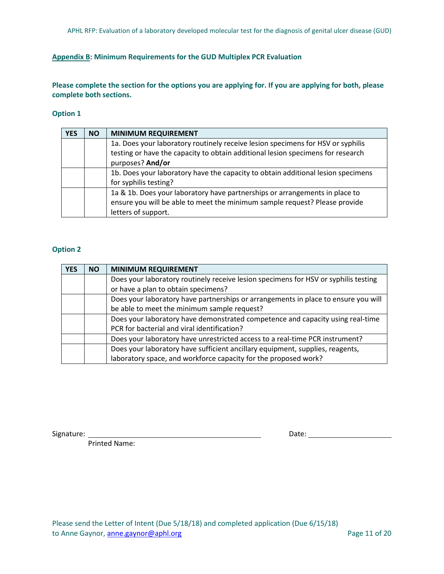# <span id="page-10-0"></span>**Appendix B: Minimum Requirements for the GUD Multiplex PCR Evaluation**

**Please complete the section for the options you are applying for. If you are applying for both, please complete both sections.** 

### **Option 1**

| <b>YES</b> | <b>NO</b> | <b>MINIMUM REQUIREMENT</b>                                                       |
|------------|-----------|----------------------------------------------------------------------------------|
|            |           | 1a. Does your laboratory routinely receive lesion specimens for HSV or syphilis  |
|            |           | testing or have the capacity to obtain additional lesion specimens for research  |
|            |           | purposes? And/or                                                                 |
|            |           | 1b. Does your laboratory have the capacity to obtain additional lesion specimens |
|            |           | for syphilis testing?                                                            |
|            |           | 1a & 1b. Does your laboratory have partnerships or arrangements in place to      |
|            |           | ensure you will be able to meet the minimum sample request? Please provide       |
|            |           | letters of support.                                                              |

## **Option 2**

| <b>YES</b> | <b>NO</b> | <b>MINIMUM REQUIREMENT</b>                                                          |
|------------|-----------|-------------------------------------------------------------------------------------|
|            |           | Does your laboratory routinely receive lesion specimens for HSV or syphilis testing |
|            |           | or have a plan to obtain specimens?                                                 |
|            |           | Does your laboratory have partnerships or arrangements in place to ensure you will  |
|            |           | be able to meet the minimum sample request?                                         |
|            |           | Does your laboratory have demonstrated competence and capacity using real-time      |
|            |           | PCR for bacterial and viral identification?                                         |
|            |           | Does your laboratory have unrestricted access to a real-time PCR instrument?        |
|            |           | Does your laboratory have sufficient ancillary equipment, supplies, reagents,       |
|            |           | laboratory space, and workforce capacity for the proposed work?                     |

Printed Name:

Signature: Date: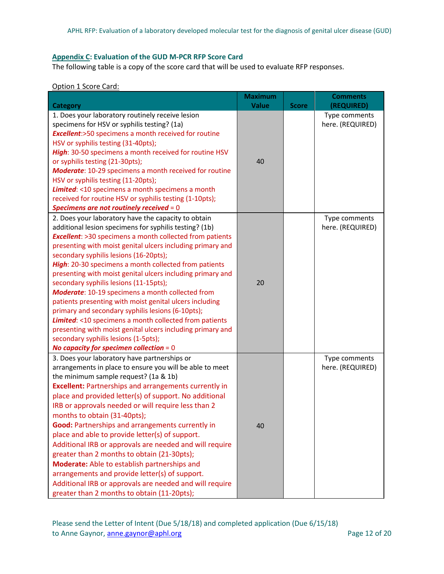# <span id="page-11-0"></span>**Appendix C: Evaluation of the GUD M-PCR RFP Score Card**

The following table is a copy of the score card that will be used to evaluate RFP responses.

#### Option 1 Score Card:

|                                                                                                 | <b>Maximum</b> |              | <b>Comments</b>                   |
|-------------------------------------------------------------------------------------------------|----------------|--------------|-----------------------------------|
| <b>Category</b>                                                                                 | <b>Value</b>   | <b>Score</b> | (REQUIRED)                        |
| 1. Does your laboratory routinely receive lesion<br>specimens for HSV or syphilis testing? (1a) |                |              | Type comments<br>here. (REQUIRED) |
| <b>Excellent:</b> >50 specimens a month received for routine                                    |                |              |                                   |
| HSV or syphilis testing (31-40pts);                                                             |                |              |                                   |
| High: 30-50 specimens a month received for routine HSV                                          |                |              |                                   |
| or syphilis testing (21-30pts);                                                                 | 40             |              |                                   |
| Moderate: 10-29 specimens a month received for routine                                          |                |              |                                   |
| HSV or syphilis testing (11-20pts);                                                             |                |              |                                   |
| Limited: <10 specimens a month specimens a month                                                |                |              |                                   |
| received for routine HSV or syphilis testing (1-10pts);                                         |                |              |                                   |
| Specimens are not routinely received $= 0$                                                      |                |              |                                   |
| 2. Does your laboratory have the capacity to obtain                                             |                |              | Type comments                     |
| additional lesion specimens for syphilis testing? (1b)                                          |                |              | here. (REQUIRED)                  |
| <b>Excellent:</b> >30 specimens a month collected from patients                                 |                |              |                                   |
| presenting with moist genital ulcers including primary and                                      |                |              |                                   |
| secondary syphilis lesions (16-20pts);                                                          |                |              |                                   |
| High: 20-30 specimens a month collected from patients                                           |                |              |                                   |
| presenting with moist genital ulcers including primary and                                      |                |              |                                   |
| secondary syphilis lesions (11-15pts);                                                          | 20             |              |                                   |
| Moderate: 10-19 specimens a month collected from                                                |                |              |                                   |
| patients presenting with moist genital ulcers including                                         |                |              |                                   |
| primary and secondary syphilis lesions (6-10pts);                                               |                |              |                                   |
| <b>Limited:</b> <10 specimens a month collected from patients                                   |                |              |                                   |
| presenting with moist genital ulcers including primary and                                      |                |              |                                   |
| secondary syphilis lesions (1-5pts);                                                            |                |              |                                   |
| No capacity for specimen collection $= 0$                                                       |                |              |                                   |
| 3. Does your laboratory have partnerships or                                                    |                |              | Type comments                     |
| arrangements in place to ensure you will be able to meet                                        |                |              | here. (REQUIRED)                  |
| the minimum sample request? (1a & 1b)                                                           |                |              |                                   |
| <b>Excellent: Partnerships and arrangements currently in</b>                                    |                |              |                                   |
| place and provided letter(s) of support. No additional                                          |                |              |                                   |
| IRB or approvals needed or will require less than 2                                             |                |              |                                   |
| months to obtain (31-40pts);                                                                    |                |              |                                   |
| Good: Partnerships and arrangements currently in                                                | 40             |              |                                   |
| place and able to provide letter(s) of support.                                                 |                |              |                                   |
| Additional IRB or approvals are needed and will require                                         |                |              |                                   |
| greater than 2 months to obtain (21-30pts);                                                     |                |              |                                   |
| Moderate: Able to establish partnerships and                                                    |                |              |                                   |
| arrangements and provide letter(s) of support.                                                  |                |              |                                   |
| Additional IRB or approvals are needed and will require                                         |                |              |                                   |
| greater than 2 months to obtain (11-20pts);                                                     |                |              |                                   |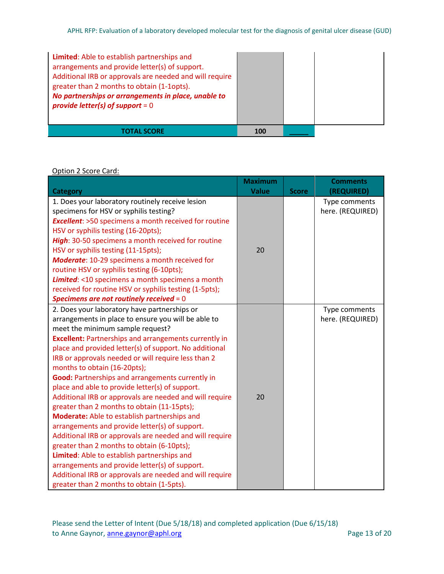| Limited: Able to establish partnerships and<br>arrangements and provide letter(s) of support.<br>Additional IRB or approvals are needed and will require<br>greater than 2 months to obtain (1-1opts).<br>No partnerships or arrangements in place, unable to<br>provide letter(s) of support = $0$ |            |  |
|-----------------------------------------------------------------------------------------------------------------------------------------------------------------------------------------------------------------------------------------------------------------------------------------------------|------------|--|
|                                                                                                                                                                                                                                                                                                     | <b>100</b> |  |

Option 2 Score Card:

|                                                              | <b>Maximum</b> |              | <b>Comments</b>  |
|--------------------------------------------------------------|----------------|--------------|------------------|
| <b>Category</b>                                              | <b>Value</b>   | <b>Score</b> | (REQUIRED)       |
| 1. Does your laboratory routinely receive lesion             |                |              | Type comments    |
| specimens for HSV or syphilis testing?                       |                |              | here. (REQUIRED) |
| <b>Excellent:</b> >50 specimens a month received for routine |                |              |                  |
| HSV or syphilis testing (16-20pts);                          |                |              |                  |
| High: 30-50 specimens a month received for routine           |                |              |                  |
| HSV or syphilis testing (11-15pts);                          | 20             |              |                  |
| Moderate: 10-29 specimens a month received for               |                |              |                  |
| routine HSV or syphilis testing (6-10pts);                   |                |              |                  |
| Limited: <10 specimens a month specimens a month             |                |              |                  |
| received for routine HSV or syphilis testing (1-5pts);       |                |              |                  |
| Specimens are not routinely received $= 0$                   |                |              |                  |
| 2. Does your laboratory have partnerships or                 |                |              | Type comments    |
| arrangements in place to ensure you will be able to          |                |              | here. (REQUIRED) |
| meet the minimum sample request?                             |                |              |                  |
| <b>Excellent: Partnerships and arrangements currently in</b> |                |              |                  |
| place and provided letter(s) of support. No additional       |                |              |                  |
| IRB or approvals needed or will require less than 2          |                |              |                  |
| months to obtain (16-20pts);                                 |                |              |                  |
| Good: Partnerships and arrangements currently in             |                |              |                  |
| place and able to provide letter(s) of support.              |                |              |                  |
| Additional IRB or approvals are needed and will require      | 20             |              |                  |
| greater than 2 months to obtain (11-15pts);                  |                |              |                  |
| Moderate: Able to establish partnerships and                 |                |              |                  |
| arrangements and provide letter(s) of support.               |                |              |                  |
| Additional IRB or approvals are needed and will require      |                |              |                  |
| greater than 2 months to obtain (6-10pts);                   |                |              |                  |
| Limited: Able to establish partnerships and                  |                |              |                  |
| arrangements and provide letter(s) of support.               |                |              |                  |
| Additional IRB or approvals are needed and will require      |                |              |                  |
| greater than 2 months to obtain (1-5pts).                    |                |              |                  |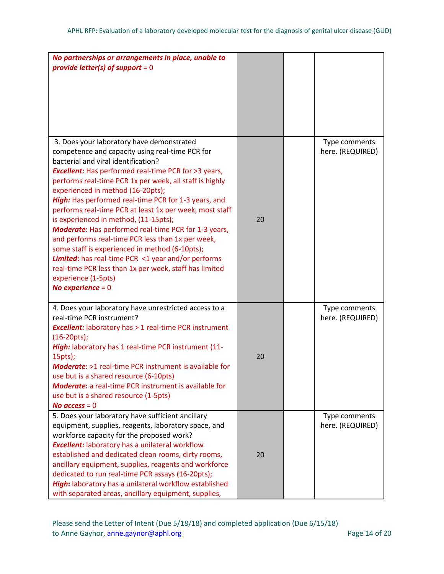| No partnerships or arrangements in place, unable to<br>provide letter(s) of support = $0$                                                                                                                                                                                                                                                                                                                                                                                                                                                                                                                                                                                                                                                                                                                 |    |                                   |
|-----------------------------------------------------------------------------------------------------------------------------------------------------------------------------------------------------------------------------------------------------------------------------------------------------------------------------------------------------------------------------------------------------------------------------------------------------------------------------------------------------------------------------------------------------------------------------------------------------------------------------------------------------------------------------------------------------------------------------------------------------------------------------------------------------------|----|-----------------------------------|
| 3. Does your laboratory have demonstrated<br>competence and capacity using real-time PCR for<br>bacterial and viral identification?<br><b>Excellent:</b> Has performed real-time PCR for >3 years,<br>performs real-time PCR 1x per week, all staff is highly<br>experienced in method (16-20pts);<br>High: Has performed real-time PCR for 1-3 years, and<br>performs real-time PCR at least 1x per week, most staff<br>is experienced in method, (11-15pts);<br><b>Moderate:</b> Has performed real-time PCR for 1-3 years,<br>and performs real-time PCR less than 1x per week,<br>some staff is experienced in method (6-10pts);<br><b>Limited:</b> has real-time PCR <1 year and/or performs<br>real-time PCR less than 1x per week, staff has limited<br>experience (1-5pts)<br>No experience = $0$ | 20 | Type comments<br>here. (REQUIRED) |
| 4. Does your laboratory have unrestricted access to a<br>real-time PCR instrument?<br><b>Excellent:</b> laboratory has > 1 real-time PCR instrument<br>$(16-20pts);$<br>High: laboratory has 1 real-time PCR instrument (11-<br>15pts);<br><b>Moderate:</b> >1 real-time PCR instrument is available for<br>use but is a shared resource (6-10pts)<br><b>Moderate:</b> a real-time PCR instrument is available for<br>use but is a shared resource (1-5pts)<br>No access $= 0$                                                                                                                                                                                                                                                                                                                            | 20 | Type comments<br>here. (REQUIRED) |
| 5. Does your laboratory have sufficient ancillary<br>equipment, supplies, reagents, laboratory space, and<br>workforce capacity for the proposed work?<br><b>Excellent:</b> laboratory has a unilateral workflow<br>established and dedicated clean rooms, dirty rooms,<br>ancillary equipment, supplies, reagents and workforce<br>dedicated to run real-time PCR assays (16-20pts);<br>High: laboratory has a unilateral workflow established<br>with separated areas, ancillary equipment, supplies,                                                                                                                                                                                                                                                                                                   | 20 | Type comments<br>here. (REQUIRED) |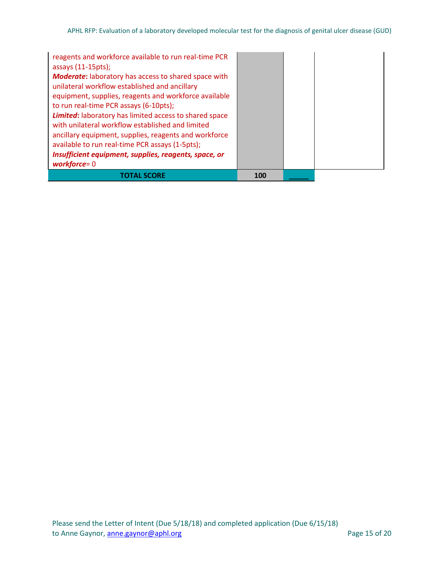| reagents and workforce available to run real-time PCR<br>assays (11-15pts);<br><b>Moderate:</b> laboratory has access to shared space with<br>unilateral workflow established and ancillary<br>equipment, supplies, reagents and workforce available<br>to run real-time PCR assays (6-10pts);<br><b>Limited:</b> laboratory has limited access to shared space<br>with unilateral workflow established and limited<br>ancillary equipment, supplies, reagents and workforce<br>available to run real-time PCR assays (1-5pts);<br>Insufficient equipment, supplies, reagents, space, or<br>workforce= $0$ |     |  |
|------------------------------------------------------------------------------------------------------------------------------------------------------------------------------------------------------------------------------------------------------------------------------------------------------------------------------------------------------------------------------------------------------------------------------------------------------------------------------------------------------------------------------------------------------------------------------------------------------------|-----|--|
| TOTAL SCORE                                                                                                                                                                                                                                                                                                                                                                                                                                                                                                                                                                                                | 100 |  |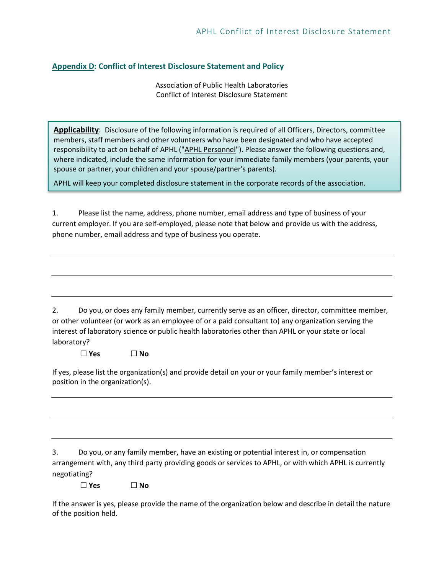# <span id="page-15-0"></span>**Appendix D: Conflict of Interest Disclosure Statement and Policy**

Association of Public Health Laboratories Conflict of Interest Disclosure Statement

**Applicability**: Disclosure of the following information is required of all Officers, Directors, committee members, staff members and other volunteers who have been designated and who have accepted responsibility to act on behalf of APHL ("APHL Personnel"). Please answer the following questions and, where indicated, include the same information for your immediate family members (your parents, your spouse or partner, your children and your spouse/partner's parents).

APHL will keep your completed disclosure statement in the corporate records of the association.

1. Please list the name, address, phone number, email address and type of business of your current employer. If you are self-employed, please note that below and provide us with the address, phone number, email address and type of business you operate.

2. Do you, or does any family member, currently serve as an officer, director, committee member, or other volunteer (or work as an employee of or a paid consultant to) any organization serving the interest of laboratory science or public health laboratories other than APHL or your state or local laboratory?

☐ **Yes** ☐ **No**

If yes, please list the organization(s) and provide detail on your or your family member's interest or position in the organization(s).

3. Do you, or any family member, have an existing or potential interest in, or compensation arrangement with, any third party providing goods or services to APHL, or with which APHL is currently negotiating?

☐ **Yes** ☐ **No**

If the answer is yes, please provide the name of the organization below and describe in detail the nature of the position held.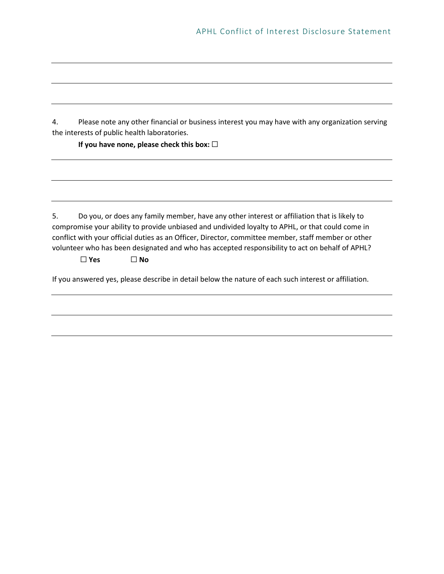4. Please note any other financial or business interest you may have with any organization serving the interests of public health laboratories.

**If you have none, please check this box:** ☐

5. Do you, or does any family member, have any other interest or affiliation that is likely to compromise your ability to provide unbiased and undivided loyalty to APHL, or that could come in conflict with your official duties as an Officer, Director, committee member, staff member or other volunteer who has been designated and who has accepted responsibility to act on behalf of APHL?

☐ **Yes** ☐ **No**

If you answered yes, please describe in detail below the nature of each such interest or affiliation.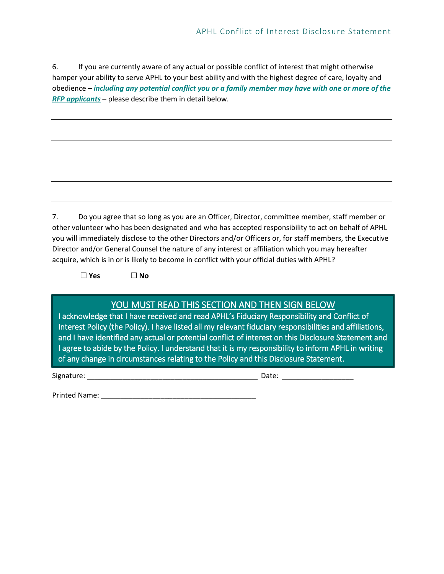6. If you are currently aware of any actual or possible conflict of interest that might otherwise hamper your ability to serve APHL to your best ability and with the highest degree of care, loyalty and obedience *– including any potential conflict you or a family member may have with one or more of the RFP applicants –* please describe them in detail below.

7. Do you agree that so long as you are an Officer, Director, committee member, staff member or other volunteer who has been designated and who has accepted responsibility to act on behalf of APHL you will immediately disclose to the other Directors and/or Officers or, for staff members, the Executive Director and/or General Counsel the nature of any interest or affiliation which you may hereafter acquire, which is in or is likely to become in conflict with your official duties with APHL?

☐ **Yes** ☐ **No**

# YOU MUST READ THIS SECTION AND THEN SIGN BELOW

I acknowledge that I have received and read APHL's Fiduciary Responsibility and Conflict of Interest Policy (the Policy). I have listed all my relevant fiduciary responsibilities and affiliations, and I have identified any actual or potential conflict of interest on this Disclosure Statement and I agree to abide by the Policy. I understand that it is my responsibility to inform APHL in writing of any change in circumstances relating to the Policy and this Disclosure Statement.

Signature: \_\_\_\_\_\_\_\_\_\_\_\_\_\_\_\_\_\_\_\_\_\_\_\_\_\_\_\_\_\_\_\_\_\_\_\_\_\_\_\_\_\_\_ Date: \_\_\_\_\_\_\_\_\_\_\_\_\_\_\_\_\_\_

Printed Name: **Example 20** and 20 and 20 and 20 and 20 and 20 and 20 and 20 and 20 and 20 and 20 and 20 and 20 and 20 and 20 and 20 and 20 and 20 and 20 and 20 and 20 and 20 and 20 and 20 and 20 and 20 and 20 and 20 and 20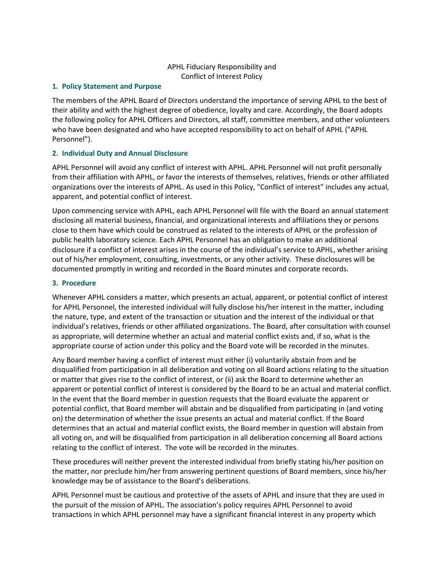# APHL Fiduciary Responsibility and Conflict of Interest Policy

# **1. Policy Statement and Purpose**

The members of the APHL Board of Directors understand the importance of serving APHL to the best of their ability and with the highest degree of obedience, loyalty and care. Accordingly, the Board adopts the following policy for APHL Officers and Directors, all staff, committee members, and other volunteers who have been designated and who have accepted responsibility to act on behalf of APHL ("APHL Personnel").

# **2. Individual Duty and Annual Disclosure**

APHL Personnel will avoid any conflict of interest with APHL. APHL Personnel will not profit personally from their affiliation with APHL, or favor the interests of themselves, relatives, friends or other affiliated organizations over the interests of APHL. As used in this Policy, "Conflict of interest" includes any actual, apparent, and potential conflict of interest.

Upon commencing service with APHL, each APHL Personnel will file with the Board an annual statement disclosing all material business, financial, and organizational interests and affiliations they or persons close to them have which could be construed as related to the interests of APHL or the profession of public health laboratory science. Each APHL Personnel has an obligation to make an additional disclosure if a conflict of interest arises in the course of the individual's service to APHL, whether arising out of his/her employment, consulting, investments, or any other activity. These disclosures will be documented promptly in writing and recorded in the Board minutes and corporate records.

# **3. Procedure**

Whenever APHL considers a matter, which presents an actual, apparent, or potential conflict of interest for APHL Personnel, the interested individual will fully disclose his/her interest in the matter, including the nature, type, and extent of the transaction or situation and the interest of the individual or that individual's relatives, friends or other affiliated organizations. The Board, after consultation with counsel as appropriate, will determine whether an actual and material conflict exists and, if so, what is the appropriate course of action under this policy and the Board vote will be recorded in the minutes.

Any Board member having a conflict of interest must either (i) voluntarily abstain from and be disqualified from participation in all deliberation and voting on all Board actions relating to the situation or matter that gives rise to the conflict of interest, or (ii) ask the Board to determine whether an apparent or potential conflict of interest is considered by the Board to be an actual and material conflict. In the event that the Board member in question requests that the Board evaluate the apparent or potential conflict, that Board member will abstain and be disqualified from participating in (and voting on) the determination of whether the issue presents an actual and material conflict. If the Board determines that an actual and material conflict exists, the Board member in question will abstain from all voting on, and will be disqualified from participation in all deliberation concerning all Board actions relating to the conflict of interest. The vote will be recorded in the minutes.

These procedures will neither prevent the interested individual from briefly stating his/her position on the matter, nor preclude him/her from answering pertinent questions of Board members, since his/her knowledge may be of assistance to the Board's deliberations.

APHL Personnel must be cautious and protective of the assets of APHL and insure that they are used in the pursuit of the mission of APHL. The association's policy requires APHL Personnel to avoid transactions in which APHL personnel may have a significant financial interest in any property which